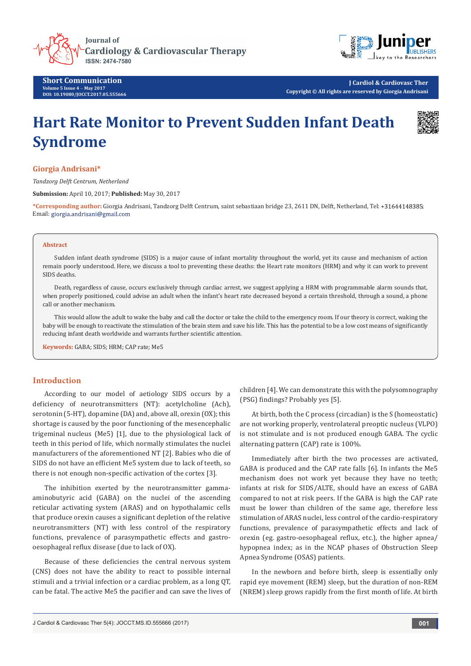





**J Cardiol & Cardiovasc Ther Copyright © All rights are reserved by Giorgia Andrisani**

# **Hart Rate Monitor to Prevent Sudden Infant Death Syndrome**



# **Giorgia Andrisani\***

*Tandzorg Delft Centrum, Netherland*

**Submission:** April 10, 2017; **Published:** May 30, 2017

**\*Corresponding author:** Giorgia Andrisani, Tandzorg Delft Centrum, saint sebastiaan bridge 23, 2611 DN, Delft, Netherland, Tel: ; Email: giorgia.andrisani@gmail.com

#### **Abstract**

Sudden infant death syndrome (SIDS) is a major cause of infant mortality throughout the world, yet its cause and mechanism of action remain poorly understood. Here, we discuss a tool to preventing these deaths: the Heart rate monitors (HRM) and why it can work to prevent SIDS deaths.

Death, regardless of cause, occurs exclusively through cardiac arrest, we suggest applying a HRM with programmable alarm sounds that, when properly positioned, could advise an adult when the infant's heart rate decreased beyond a certain threshold, through a sound, a phone call or another mechanism.

This would allow the adult to wake the baby and call the doctor or take the child to the emergency room. If our theory is correct, waking the baby will be enough to reactivate the stimulation of the brain stem and save his life. This has the potential to be a low cost means of significantly reducing infant death worldwide and warrants further scientific attention.

**Keywords:** GABA; SIDS; HRM; CAP rate; Me5

## **Introduction**

According to our model of aetiology SIDS occurs by a deficiency of neurotransmitters (NT): acetylcholine (Ach), serotonin (5-HT), dopamine (DA) and, above all, orexin (OX); this shortage is caused by the poor functioning of the mesencephalic trigeminal nucleus (Me5) [1], due to the physiological lack of teeth in this period of life, which normally stimulates the nuclei manufacturers of the aforementioned NT [2]. Babies who die of SIDS do not have an efficient Me5 system due to lack of teeth, so there is not enough non-specific activation of the cortex [3].

The inhibition exerted by the neurotransmitter gammaaminobutyric acid (GABA) on the nuclei of the ascending reticular activating system (ARAS) and on hypothalamic cells that produce orexin causes a significant depletion of the relative neurotransmitters (NT) with less control of the respiratory functions, prevalence of parasympathetic effects and gastrooesophageal reflux disease (due to lack of OX).

Because of these deficiencies the central nervous system (CNS) does not have the ability to react to possible internal stimuli and a trivial infection or a cardiac problem, as a long QT, can be fatal. The active Me5 the pacifier and can save the lives of children [4]. We can demonstrate this with the polysomnography (PSG) findings? Probably yes [5].

At birth, both the C process (circadian) is the S (homeostatic) are not working properly, ventrolateral preoptic nucleus (VLPO) is not stimulate and is not produced enough GABA. The cyclic alternating pattern (CAP) rate is 100%.

Immediately after birth the two processes are activated, GABA is produced and the CAP rate falls [6]. In infants the Me5 mechanism does not work yet because they have no teeth; infants at risk for SIDS/ALTE, should have an excess of GABA compared to not at risk peers. If the GABA is high the CAP rate must be lower than children of the same age, therefore less stimulation of ARAS nuclei, less control of the cardio-respiratory functions, prevalence of parasympathetic effects and lack of orexin (eg. gastro-oesophageal reflux, etc.), the higher apnea/ hypopnea index; as in the NCAP phases of Obstruction Sleep Apnea Syndrome (OSAS) patients.

In the newborn and before birth, sleep is essentially only rapid eye movement (REM) sleep, but the duration of non-REM (NREM) sleep grows rapidly from the first month of life. At birth

J Cardiol & Cardiovasc Ther 5(4): JOCCT.MS.ID.555666 (2017) **001**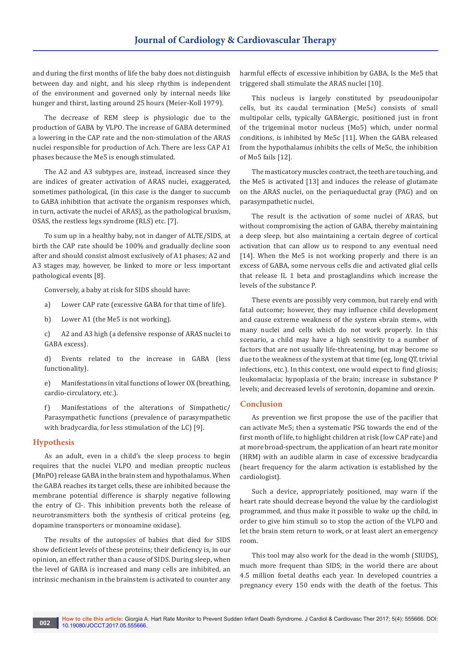and during the first months of life the baby does not distinguish between day and night, and his sleep rhythm is independent of the environment and governed only by internal needs like hunger and thirst, lasting around 25 hours (Meier-Koll 1979).

The decrease of REM sleep is physiologic due to the production of GABA by VLPO. The increase of GABA determined a lowering in the CAP rate and the non-stimulation of the ARAS nuclei responsible for production of Ach. There are less CAP A1 phases because the Me5 is enough stimulated.

The A2 and A3 subtypes are, instead, increased since they are indices of greater activation of ARAS nuclei, exaggerated, sometimes pathological, (in this case is the danger to succumb to GABA inhibition that activate the organism responses which, in turn, activate the nuclei of ARAS), as the pathological bruxism, OSAS, the restless legs syndrome (RLS) etc. [7].

To sum up in a healthy baby, not in danger of ALTE/SIDS, at birth the CAP rate should be 100% and gradually decline soon after and should consist almost exclusively of A1 phases; A2 and A3 stages may, however, be linked to more or less important pathological events [8].

Conversely, a baby at risk for SIDS should have:

- a) Lower CAP rate (excessive GABA for that time of life).
- b) Lower A1 (the Me5 is not working).

c) A2 and A3 high (a defensive response of ARAS nuclei to GABA excess).

d) Events related to the increase in GABA (less functionality).

e) Manifestations in vital functions of lower OX (breathing, cardio-circulatory, etc.).

f) Manifestations of the alterations of Simpathetic/ Parasympathetic functions (prevalence of parasympathetic with bradycardia, for less stimulation of the LC) [9].

## **Hypothesis**

As an adult, even in a child's the sleep process to begin requires that the nuclei VLPO and median preoptic nucleus (MnPO) release GABA in the brain stem and hypothalamus. When the GABA reaches its target cells, these are inhibited because the membrane potential difference is sharply negative following the entry of Cl-. This inhibition prevents both the release of neurotransmitters both the synthesis of critical proteins (eg, dopamine transporters or monoamine oxidase).

The results of the autopsies of babies that died for SIDS show deficient levels of these proteins; their deficiency is, in our opinion, an effect rather than a cause of SIDS. During sleep, when the level of GABA is increased and many cells are inhibited, an intrinsic mechanism in the brainstem is activated to counter any

harmful effects of excessive inhibition by GABA, Is the Me5 that triggered shall stimulate the ARAS nuclei [10].

This nucleus is largely constituted by pseudounipolar cells, but its caudal termination (Me5c) consists of small multipolar cells, typically GABAergic, positioned just in front of the trigeminal motor nucleus (Mo5) which, under normal conditions, is inhibited by Me5c [11]. When the GABA released from the hypothalamus inhibits the cells of Me5c, the inhibition of Mo5 fails [12].

The masticatory muscles contract, the teeth are touching, and the Me5 is activated [13] and induces the release of glutamate on the ARAS nuclei, on the periaqueductal gray (PAG) and on parasympathetic nuclei.

The result is the activation of some nuclei of ARAS, but without compromising the action of GABA, thereby maintaining a deep sleep, but also maintaining a certain degree of cortical activation that can allow us to respond to any eventual need [14]. When the Me5 is not working properly and there is an excess of GABA, some nervous cells die and activated glial cells that release IL 1 beta and prostaglandins which increase the levels of the substance P.

These events are possibly very common, but rarely end with fatal outcome; however, they may influence child development and cause extreme weakness of the system «brain stem», with many nuclei and cells which do not work properly. In this scenario, a child may have a high sensitivity to a number of factors that are not usually life-threatening, but may become so due to the weakness of the system at that time (eg, long QT, trivial infections, etc.). In this context, one would expect to find gliosis; leukomalacia; hypoplasia of the brain; increase in substance P levels; and decreased levels of serotonin, dopamine and orexin.

# **Conclusion**

As prevention we first propose the use of the pacifier that can activate Me5; then a systematic PSG towards the end of the first month of life, to highlight children at risk (low CAP rate) and at more broad-spectrum, the application of an heart rate monitor (HRM) with an audible alarm in case of excessive bradycardia (heart frequency for the alarm activation is established by the cardiologist).

Such a device, appropriately positioned, may warn if the heart rate should decrease beyond the value by the cardiologist programmed, and thus make it possible to wake up the child, in order to give him stimuli so to stop the action of the VLPO and let the brain stem return to work, or at least alert an emergency room.

This tool may also work for the dead in the womb (SIUDS), much more frequent than SIDS; in the world there are about 4.5 million foetal deaths each year. In developed countries a pregnancy every 150 ends with the death of the foetus. This